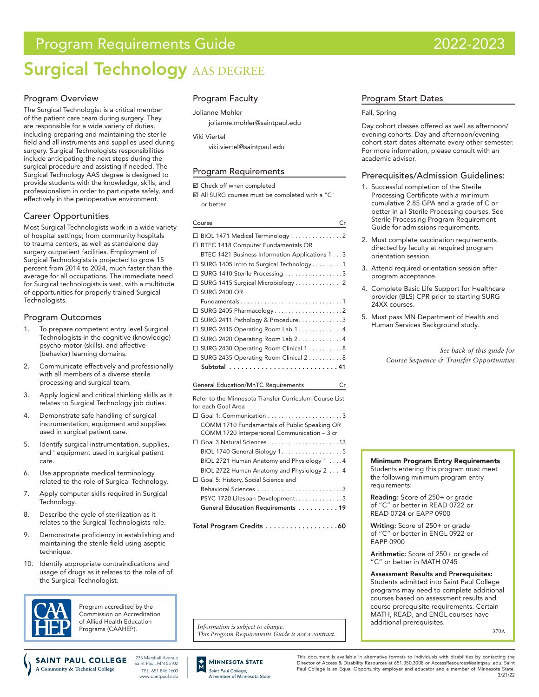# Program Requirements Guide 2022-2023

# **Surgical Technology AAS DEGREE**

## Program Overview

The Surgical Technologist is a critical member of the patient care team during surgery. They are responsible for a wide variety of duties, including preparing and maintaining the sterile field and all instruments and supplies used during surgery. Surgical Technologists responsibilities include anticipating the next steps during the surgical procedure and assisting if needed. The Surgical Technology AAS degree is designed to provide students with the knowledge, skills, and professionalism in order to participate safely, and effectively in the perioperative environment.

## Career Opportunities

Most Surgical Technologists work in a wide variety of hospital settings; from community hospitals to trauma centers, as well as standalone day surgery outpatient facilities. Employment of Surgical Technologists is projected to grow 15 percent from 2014 to 2024, much faster than the average for all occupations. The immediate need for Surgical technologists is vast, with a multitude of opportunities for properly trained Surgical Technologists.

## Program Outcomes

- To prepare competent entry level Surgical Technologists in the cognitive (knowledge) psycho-motor (skills), and affective (behavior) learning domains.
- 2. Communicate effectively and professionally with all members of a diverse sterile processing and surgical team.
- 3. Apply logical and critical thinking skills as it relates to Surgical Technology job duties.
- 4. Demonstrate safe handling of surgical instrumentation, equipment and supplies used in surgical patient care.
- 5. Identify surgical instrumentation, supplies, and ' equipment used in surgical patient care.
- 6. Use appropriate medical terminology related to the role of Surgical Technology.
- 7. Apply computer skills required in Surgical Technology.
- 8. Describe the cycle of sterilization as it relates to the Surgical Technologists role.
- 9. Demonstrate proficiency in establishing and maintaining the sterile field using aseptic technique.
- 10. Identify appropriate contraindications and usage of drugs as it relates to the role of of the Surgical Technologist.



Program accredited by the Commission on Accreditation of Allied Health Education Programs (CAAHEP).

## Program Faculty

#### Jolianne Mohler

jolianne.mohler@saintpaul.edu

Viki Viertel

[viki.viertel@saintpaul.edu](mailto:Viki.Viertel%40saintpaul.edu?subject=)

## Program Requirements

■ Check off when completed

 All SURG courses must be completed with a "C" or better.

#### Course Created the Created Created and Created Created and Created and Created and Created and Created and Cre

| $\Box$ BIOL 1471 Medical Terminology 2                 |
|--------------------------------------------------------|
| □ BTEC 1418 Computer Fundamentals OR                   |
| BTEC 1421 Business Information Applications 13         |
| $\Box$ SURG 1405 Intro to Surgical Technology 1        |
| □ SURG 1410 Sterile Processing 3                       |
| □ SURG 1415 Surgical Microbiology 2                    |
| □ SURG 2400 OR                                         |
| Fundamentals1                                          |
|                                                        |
| □ SURG 2411 Pathology & Procedure3                     |
| □ SURG 2415 Operating Room Lab 1 4                     |
| $\Box$ SURG 2420 Operating Room Lab 24                 |
| □ SURG 2430 Operating Room Clinical 1 8                |
| □ SURG 2435 Operating Room Clinical 2 8                |
| Subtotal 41                                            |
|                                                        |
| <b>General Education/MnTC Requirements</b><br>Cr       |
| Refer to the Minnesota Transfer Curriculum Course List |

#### for each Goal Area Goal 1: Communication. . 3 COMM 1710 Fundamentals of Public Speaking OR COMM 1720 Interpersonal Communication – 3 cr Goal 3 Natural Sciences. . 13 BIOL 1740 General Biology 1. . . . . . . . . . . . . . . . . 5

BIOL 2721 Human Anatomy and Physiology 1 . . . . 4 BIOL 2722 Human Anatomy and Physiology 2. . . 4 Goal 5: History, Social Science and Behavioral Sciences. . 3 PSYC 1720 Lifespan Development. . . . . . . . . . . . . 3 General Education Requirements . . . . . . . . . 19

Total Program Credits . . . . . . . . . . . . . . . . . 60

Information is subject to change.<br>This Program Requirements Guide is not a contract.

## Program Start Dates

#### Fall, Spring

Day cohort classes offered as well as afternoon/ evening cohorts. Day and afternoon/evening cohort start dates alternate every other semester. For more information, please consult with an academic advisor.

#### Prerequisites/Admission Guidelines:

- 1. Successful completion of the Sterile Processing Certificate with a minimum cumulative 2.85 GPA and a grade of C or better in all Sterile Processing courses. See Sterile Processing Program Requirement Guide for admissions requirements.
- 2. Must complete vaccination requirements directed by faculty at required program orientation session.
- 3. Attend required orientation session after program acceptance.
- 4. Complete Basic Life Support for Healthcare provider (BLS) CPR prior to starting SURG .<br>24XX courses.
- 5. Must pass MN Department of Health and Human Services Background study.

*See back of this guide for Course Sequence & Transfer Opportunities*

Minimum Program Entry Requirements

Students entering this program must meet the following minimum program entry requirements:

Reading: Score of 250+ or grade of "C" or better in READ 0722 or READ 0724 or EAPP 0900

Writing: Score of 250+ or grade of "C" or better in ENGL 0922 or EAPP 0900

Arithmetic: Score of 250+ or grade of "C" or better in MATH 0745

Assessment Results and Prerequisites: Students admitted into Saint Paul College programs may need to complete additional courses based on assessment results and course prerequisite requirements. Certain MATH, READ, and ENGL courses have additional prerequisites.

3/21/22

This document is available in alternative formats to individuals with disabilities by contacting the Director of Access & Disability Resources at 651.350.3008 or AccessResources@saintpaul.edu. Saint Paul College is an Equal Opportunity employer and educator and a member of Minnesota State.

**SAINT PAUL COLLEGE** Saint Paul, MN 55102 A Community & Technical College TEL: 651.846.1600 www.saintpaul.edu

235 Marshall Avenue